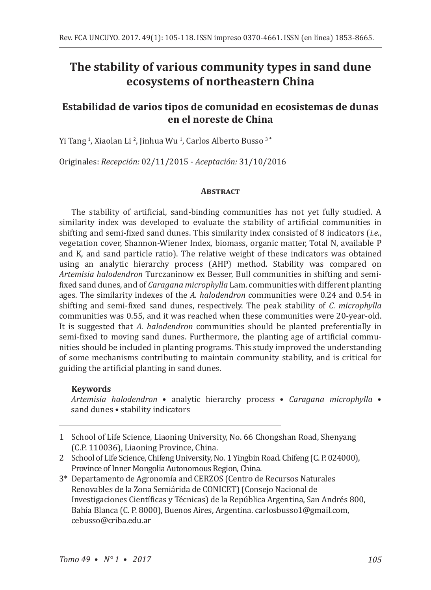# **The stability of various community types in sand dune ecosystems of northeastern China**

## **Estabilidad de varios tipos de comunidad en ecosistemas de dunas en el noreste de China**

Yi Tang <sup>1</sup> , Xiaolan Li <sup>2</sup> , Jinhua Wu <sup>1</sup> , Carlos Alberto Busso 3 **\***

Originales: *Recepción:* 02/11/2015 - *Aceptación:* 31/10/2016

#### **Abstract**

The stability of artificial, sand-binding communities has not yet fully studied. A similarity index was developed to evaluate the stability of artificial communities in shifting and semi-fixed sand dunes. This similarity index consisted of 8 indicators (*i.e.*, vegetation cover, Shannon-Wiener Index, biomass, organic matter, Total N, available P and K, and sand particle ratio). The relative weight of these indicators was obtained using an analytic hierarchy process (AHP) method. Stability was compared on *Artemisia halodendron* Turczaninow ex Besser, Bull communities in shifting and semifixed sand dunes, and of *Caragana microphylla* Lam. communities with different planting ages. The similarity indexes of the *A. halodendron* communities were 0.24 and 0.54 in shifting and semi-fixed sand dunes, respectively. The peak stability of *C. microphylla* communities was 0.55, and it was reached when these communities were 20-year-old. It is suggested that *A. halodendron* communities should be planted preferentially in semi-fixed to moving sand dunes. Furthermore, the planting age of artificial communities should be included in planting programs. This study improved the understanding of some mechanisms contributing to maintain community stability, and is critical for guiding the artificial planting in sand dunes.

## **Keywords**

*Artemisia halodendron* • analytic hierarchy process • *Caragana microphylla* • sand dunes • stability indicators

- 2 School of Life Science, Chifeng University, No. 1 Yingbin Road. Chifeng (C. P. 024000), Province of Inner Mongolia Autonomous Region, China.
- 3\* Departamento de Agronomía and CERZOS (Centro de Recursos Naturales Renovables de la Zona Semiárida de CONICET) (Consejo Nacional de Investigaciones Científicas y Técnicas) de la República Argentina, San Andrés 800, Bahía Blanca (C. P. 8000), Buenos Aires, Argentina. carlosbusso1@gmail.com, cebusso@criba.edu.ar

<sup>1</sup> School of Life Science, Liaoning University, No. 66 Chongshan Road, Shenyang (C.P. 110036), Liaoning Province, China.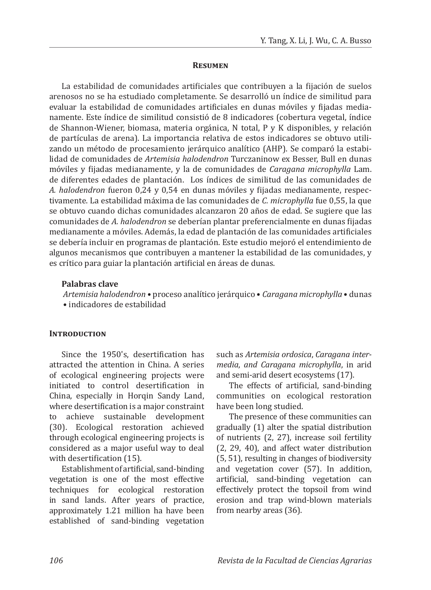#### **Resumen**

La estabilidad de comunidades artificiales que contribuyen a la fijación de suelos arenosos no se ha estudiado completamente. Se desarrolló un índice de similitud para evaluar la estabilidad de comunidades artificiales en dunas móviles y fijadas medianamente. Este índice de similitud consistió de 8 indicadores (cobertura vegetal, índice de Shannon-Wiener, biomasa, materia orgánica, N total, P y K disponibles, y relación de partículas de arena). La importancia relativa de estos indicadores se obtuvo utilizando un método de procesamiento jerárquico analítico (AHP). Se comparó la estabilidad de comunidades de *Artemisia halodendron* Turczaninow ex Besser, Bull en dunas móviles y fijadas medianamente, y la de comunidades de *Caragana microphylla* Lam. de diferentes edades de plantación. Los índices de similitud de las comunidades de *A. halodendron* fueron 0,24 y 0,54 en dunas móviles y fijadas medianamente, respectivamente. La estabilidad máxima de las comunidades de *C. microphylla* fue 0,55, la que se obtuvo cuando dichas comunidades alcanzaron 20 años de edad. Se sugiere que las comunidades de *A. halodendron* se deberían plantar preferencialmente en dunas fijadas medianamente a móviles. Además, la edad de plantación de las comunidades artificiales se debería incluir en programas de plantación. Este estudio mejoró el entendimiento de algunos mecanismos que contribuyen a mantener la estabilidad de las comunidades, y es crítico para guiar la plantación artificial en áreas de dunas.

#### **Palabras clave**

*Artemisia halodendron* • proceso analítico jerárquico • *Caragana microphylla* • dunas • indicadores de estabilidad

## **INTRODUCTION**

Since the 1950's, desertification has attracted the attention in China. A series of ecological engineering projects were initiated to control desertification in China, especially in Horqin Sandy Land, where desertification is a major constraint to achieve sustainable development (30). Ecological restoration achieved through ecological engineering projects is considered as a major useful way to deal with desertification (15).

Establishment of artificial, sand-binding vegetation is one of the most effective techniques for ecological restoration in sand lands. After years of practice, approximately 1.21 million ha have been established of sand-binding vegetation such as *Artemisia ordosica*, *Caragana intermedia*, *and Caragana microphylla*, in arid and semi-arid desert ecosystems (17).

The effects of artificial, sand-binding communities on ecological restoration have been long studied.

The presence of these communities can gradually (1) alter the spatial distribution of nutrients (2, 27), increase soil fertility (2, 29, 40), and affect water distribution (5, 51), resulting in changes of biodiversity and vegetation cover (57). In addition, artificial, sand-binding vegetation can effectively protect the topsoil from wind erosion and trap wind-blown materials from nearby areas (36).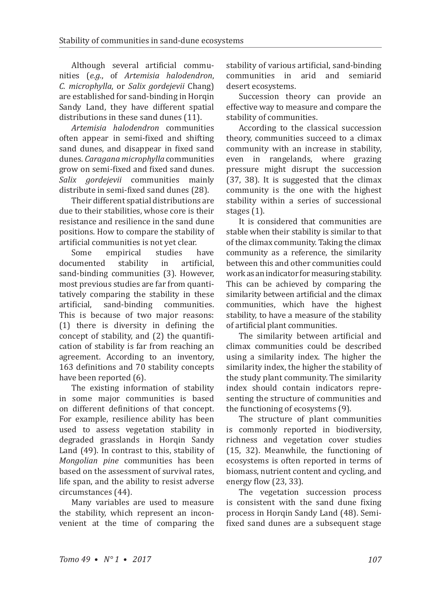Although several artificial communities (*e.g.*, of *Artemisia halodendron*, *C. microphylla*, or *Salix gordejevii* Chang) are established for sand-binding in Horqin Sandy Land, they have different spatial distributions in these sand dunes (11).

*Artemisia halodendron* communities often appear in semi-fixed and shifting sand dunes, and disappear in fixed sand dunes. *Caragana microphylla* communities grow on semi-fixed and fixed sand dunes. *Salix gordejevii* communities mainly distribute in semi-fixed sand dunes (28).

Their different spatial distributions are due to their stabilities, whose core is their resistance and resilience in the sand dune positions. How to compare the stability of artificial communities is not yet clear.<br>Some empirical studies have

Some empirical studies have<br>documented stability in artificial, documented stability in artificial, sand-binding communities (3). However, most previous studies are far from quantitatively comparing the stability in these<br>artificial. sand-binding communities. sand-binding communities. This is because of two major reasons: (1) there is diversity in defining the concept of stability, and (2) the quantification of stability is far from reaching an agreement. According to an inventory, 163 definitions and 70 stability concepts have been reported (6).

The existing information of stability in some major communities is based on different definitions of that concept. For example, resilience ability has been used to assess vegetation stability in degraded grasslands in Horqin Sandy Land (49). In contrast to this, stability of *Mongolian pine* communities has been based on the assessment of survival rates, life span, and the ability to resist adverse circumstances (44).

Many variables are used to measure the stability, which represent an inconvenient at the time of comparing the stability of various artificial, sand-binding communities in arid and semiarid desert ecosystems.

Succession theory can provide an effective way to measure and compare the stability of communities.

According to the classical succession theory, communities succeed to a climax community with an increase in stability, even in rangelands, where grazing pressure might disrupt the succession (37, 38). It is suggested that the climax community is the one with the highest stability within a series of successional stages (1).

It is considered that communities are stable when their stability is similar to that of the climax community. Taking the climax community as a reference, the similarity between this and other communities could work as an indicator for measuring stability. This can be achieved by comparing the similarity between artificial and the climax communities, which have the highest stability, to have a measure of the stability of artificial plant communities.

The similarity between artificial and climax communities could be described using a similarity index. The higher the similarity index, the higher the stability of the study plant community. The similarity index should contain indicators representing the structure of communities and the functioning of ecosystems (9).

The structure of plant communities is commonly reported in biodiversity, richness and vegetation cover studies (15, 32). Meanwhile, the functioning of ecosystems is often reported in terms of biomass, nutrient content and cycling, and energy flow (23, 33).

The vegetation succession process is consistent with the sand dune fixing process in Horqin Sandy Land (48). Semifixed sand dunes are a subsequent stage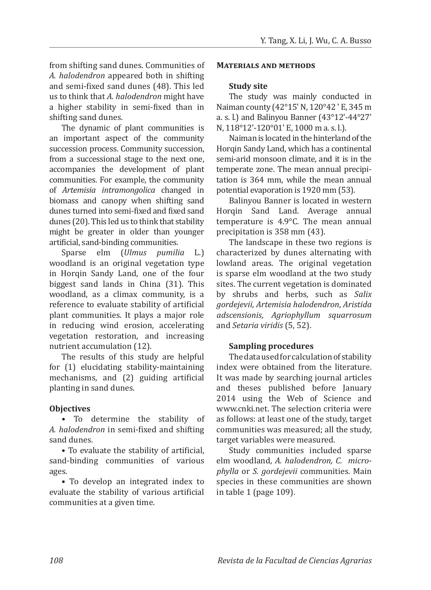from shifting sand dunes. Communities of *A. halodendron* appeared both in shifting and semi-fixed sand dunes (48). This led us to think that *A. halodendron* might have a higher stability in semi-fixed than in shifting sand dunes.

The dynamic of plant communities is an important aspect of the community succession process. Community succession, from a successional stage to the next one, accompanies the development of plant communities. For example, the community of *Artemisia intramongolica* changed in biomass and canopy when shifting sand dunes turned into semi-fixed and fixed sand dunes (20). This led us to think that stability might be greater in older than younger artificial, sand-binding communities.<br>Sparse elm (*Ulmus pumili* 

(*Ulmus pumilia* L.) woodland is an original vegetation type in Horqin Sandy Land, one of the four biggest sand lands in China (31). This woodland, as a climax community, is a reference to evaluate stability of artificial plant communities. It plays a major role in reducing wind erosion, accelerating vegetation restoration, and increasing nutrient accumulation (12).

The results of this study are helpful for (1) elucidating stability-maintaining mechanisms, and (2) guiding artificial planting in sand dunes.

## **Objectives**

**•** To determine the stability of *A. halodendron* in semi-fixed and shifting sand dunes.

• To evaluate the stability of artificial, sand-binding communities of various ages.

• To develop an integrated index to evaluate the stability of various artificial communities at a given time.

#### **Materials and methods**

#### **Study site**

The study was mainly conducted in Naiman county (42°15' N, 120°42 ' E, 345 m a. s. l.) and Balinyou Banner (43°12'-44°27' N, 118°12'-120°01' E, 1000 m a. s. l.).

Naiman is located in the hinterland of the Horgin Sandy Land, which has a continental semi-arid monsoon climate, and it is in the temperate zone. The mean annual precipitation is 364 mm, while the mean annual potential evaporation is 1920 mm (53).

Balinyou Banner is located in western Horqin Sand Land. Average annual temperature is 4.9°C. The mean annual precipitation is 358 mm (43).

The landscape in these two regions is characterized by dunes alternating with lowland areas. The original vegetation is sparse elm woodland at the two study sites. The current vegetation is dominated by shrubs and herbs, such as *Salix gordejevii*, *Artemisia halodendron*, *Aristida adscensionis*, *Agriophyllum squarrosum* and *Setaria viridis* (5, 52).

#### **Sampling procedures**

The data used for calculation of stability index were obtained from the literature. It was made by searching journal articles and theses published before January 2014 using the Web of Science and www.cnki.net. The selection criteria were as follows: at least one of the study, target communities was measured; all the study, target variables were measured.

Study communities included sparse elm woodland, *A. halodendron, C. microphylla* or *S. gordejevii* communities. Main species in these communities are shown in table 1 (page 109).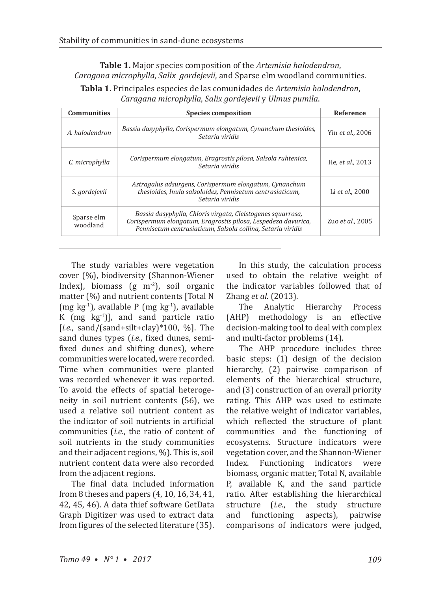**Table 1.** Major species composition of the *Artemisia halodendron*, *Caragana microphylla*, *Salix gordejevii*, and Sparse elm woodland communities.

**Tabla 1.** Principales especies de las comunidades de *Artemisia halodendron*, *Caragana microphylla*, *Salix gordejevii* y *Ulmus pumila*.

| <b>Communities</b>     | <b>Species composition</b>                                                                                                                                                                  | Reference        |
|------------------------|---------------------------------------------------------------------------------------------------------------------------------------------------------------------------------------------|------------------|
| A. halodendron         | Bassia dasyphylla, Corispermum elongatum, Cynanchum thesioides,<br>Setaria viridis                                                                                                          | Yin et al., 2006 |
| C. microphylla         | Corispermum elongatum, Eragrostis pilosa, Salsola ruhtenica,<br>Setaria viridis                                                                                                             |                  |
| S. gordejevii          | Astragalus adsurgens, Corispermum elongatum, Cynanchum<br>thesioides, Inula salsoloides, Pennisetum centrasiaticum,<br>Setaria viridis                                                      | Li et al., 2000  |
| Sparse elm<br>woodland | Bassia dasyphylla, Chloris virgata, Cleistogenes squarrosa,<br>Corispermum elongatum, Eragrostis pilosa, Lespedeza davurica,<br>Pennisetum centrasiaticum, Salsola collina, Setaria viridis | Zuo et al., 2005 |

The study variables were vegetation cover (%), biodiversity (Shannon-Wiener Index), biomass  $(g \ m^2)$ , soil organic matter (%) and nutrient contents [Total N (mg kg<sup>-1</sup>), available P (mg kg<sup>-1</sup>), available K  $(mg \ kg^{-1})$ ], and sand particle ratio [*i.e.*, sand/(sand+silt+clay)\*100, %]. The sand dunes types (*i.e.*, fixed dunes, semifixed dunes and shifting dunes), where communities were located, were recorded. Time when communities were planted was recorded whenever it was reported. To avoid the effects of spatial heterogeneity in soil nutrient contents (56), we used a relative soil nutrient content as the indicator of soil nutrients in artificial communities (*i.e.*, the ratio of content of soil nutrients in the study communities and their adjacent regions, %). This is, soil nutrient content data were also recorded from the adjacent regions.

The final data included information from 8 theses and papers (4, 10, 16, 34, 41, 42, 45, 46). A data thief software GetData Graph Digitizer was used to extract data from figures of the selected literature (35).

In this study, the calculation process used to obtain the relative weight of the indicator variables followed that of Zhang *et al*. (2013).

Analytic Hierarchy Process (AHP) methodology is an effective decision-making tool to deal with complex and multi-factor problems (14).

The AHP procedure includes three basic steps: (1) design of the decision hierarchy, (2) pairwise comparison of elements of the hierarchical structure, and (3) construction of an overall priority rating. This AHP was used to estimate the relative weight of indicator variables, which reflected the structure of plant communities and the functioning of ecosystems. Structure indicators were vegetation cover, and the Shannon-Wiener Index. Functioning indicators were biomass, organic matter, Total N, available P, available K, and the sand particle ratio. After establishing the hierarchical<br>structure *(i.e.*, the study structure structure (*i.e.*, the study structure and functioning aspects), pairwise functioning comparisons of indicators were judged,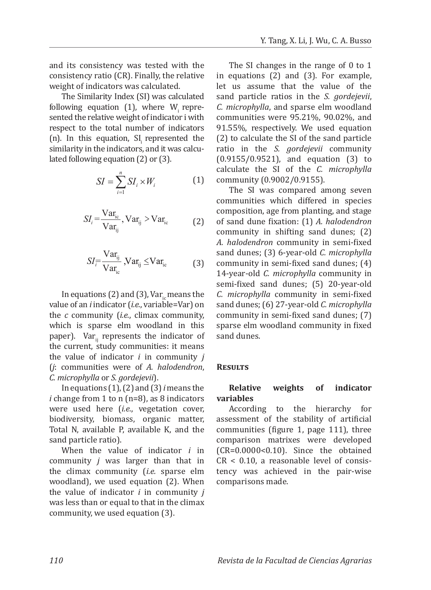and its consistency was tested with the consistency ratio (CR). Finally, the relative weight of indicators was calculated.

The Similarity Index (SI) was calculated following equation  $(1)$ , where W<sub>i</sub> represented the relative weight of indicator i with respect to the total number of indicators  $(n)$ . In this equation, SI represented the similarity in the indicators, and it was calculated following equation (2) or (3).

$$
SI = \sum_{i=1}^{n} SI_i \times W_i \tag{1}
$$

$$
SI_{i} = \frac{\text{Var}_{\text{ic}}}{\text{Var}_{\text{ij}}}, \text{Var}_{\text{ij}} > \text{Var}_{\text{ic}} \tag{2}
$$

$$
SI_{\overline{i}} = \frac{\text{Var}_{ij}}{\text{Var}_{ic}} \text{Var}_{ij} \leq \text{Var}_{ic} \tag{3}
$$

In equations (2) and (3),  $Var_i$  means the value of an *i* indicator (*i.e.*, variable=Var) on the *c* community (*i.e.*, climax community, which is sparse elm woodland in this paper). Var $_{ii}$  represents the indicator of the current, study communities: it means the value of indicator *i* in community *j* (*j*: communities were of *A. halodendron*, *C. microphylla* or *S. gordejevii*).

In equations (1), (2) and (3) *i* means the *i* change from 1 to n (n=8), as 8 indicators were used here (*i.e.*, vegetation cover, biodiversity, biomass, organic matter, Total N, available P, available K, and the sand particle ratio).

When the value of indicator *i* in community *j* was larger than that in the climax community (*i.e.* sparse elm woodland), we used equation (2). When the value of indicator *i* in community *j* was less than or equal to that in the climax community, we used equation (3).

The SI changes in the range of 0 to 1 in equations (2) and (3). For example, let us assume that the value of the sand particle ratios in the *S. gordejevii*, *C. microphylla*, and sparse elm woodland communities were 95.21%, 90.02%, and 91.55%, respectively. We used equation (2) to calculate the SI of the sand particle ratio in the *S. gordejevii* community (0.9155/0.9521), and equation (3) to calculate the SI of the *C. microphylla* community (0.9002/0.9155).

The SI was compared among seven communities which differed in species composition, age from planting, and stage of sand dune fixation: (1) *A. halodendron* community in shifting sand dunes; (2) *A. halodendron* community in semi-fixed sand dunes; (3) 6-year-old *C. microphylla* community in semi-fixed sand dunes; (4) 14-year-old *C. microphylla* community in semi-fixed sand dunes; (5) 20-year-old *C. microphylla* community in semi-fixed sand dunes; (6) 27-year-old *C. microphylla* community in semi-fixed sand dunes; (7) sparse elm woodland community in fixed sand dunes.

#### **Results**

## **Relative weights of indicator variables**

According to the hierarchy for assessment of the stability of artificial communities (figure 1, page 111), three comparison matrixes were developed (CR=0.0000<0.10). Since the obtained  $CR < 0.10$ , a reasonable level of consistency was achieved in the pair-wise comparisons made.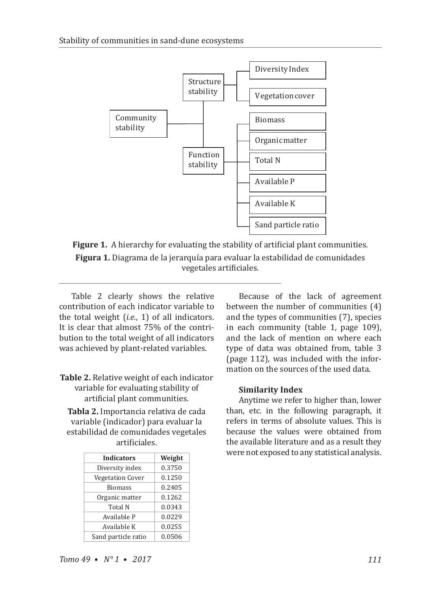

**Figure 1.** A hierarchy for evaluating the stability of artificial plant communities. **Figura 1.** Diagrama de la jerarquía para evaluar la estabilidad de comunidades vegetales artificiales.

Table 2 clearly shows the relative contribution of each indicator variable to the total weight (*i.e.*, 1) of all indicators. It is clear that almost 75% of the contribution to the total weight of all indicators was achieved by plant-related variables.

- **Table 2.** Relative weight of each indicator variable for evaluating stability of artificial plant communities.
	- **Tabla 2.** Importancia relativa de cada variable (indicador) para evaluar la estabilidad de comunidades vegetales artificiales.

| <b>Indicators</b>       | Weight |
|-------------------------|--------|
| Diversity index         | 0.3750 |
| <b>Vegetation Cover</b> | 0.1250 |
| <b>Biomass</b>          | 0.2405 |
| Organic matter          | 0.1262 |
| Total N                 | 0.0343 |
| Available P             | 0.0229 |
| Available K             | 0.0255 |
| Sand particle ratio     | 0.0506 |

Because of the lack of agreement between the number of communities (4) and the types of communities (7), species in each community (table 1, page 109), and the lack of mention on where each type of data was obtained from, table 3 (page 112), was included with the information on the sources of the used data.

## **Similarity Index**

Anytime we refer to higher than, lower than, etc. in the following paragraph, it refers in terms of absolute values. This is because the values were obtained from the available literature and as a result they were not exposed to any statistical analysis.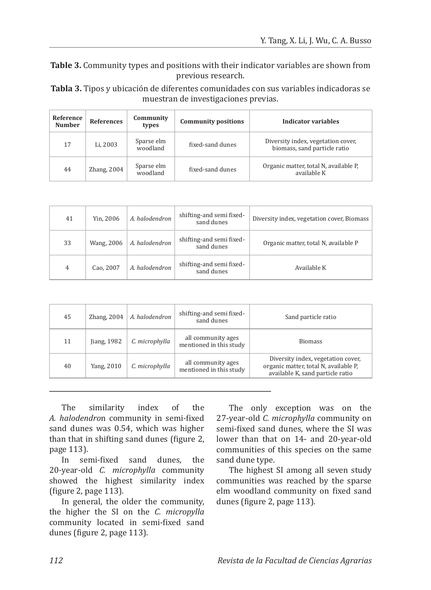**Table 3.** Community types and positions with their indicator variables are shown from previous research.

**Tabla 3.** Tipos y ubicación de diferentes comunidades con sus variables indicadoras se muestran de investigaciones previas.

| Reference<br><b>Number</b> | <b>References</b> | Community<br>types     | <b>Community positions</b> | Indicator variables                                                |
|----------------------------|-------------------|------------------------|----------------------------|--------------------------------------------------------------------|
| 17                         | Li. 2003          | Sparse elm<br>woodland | fixed-sand dunes           | Diversity index, vegetation cover,<br>biomass, sand particle ratio |
| 44                         | Zhang, $2004$     | Sparse elm<br>woodland | fixed-sand dunes           | Organic matter, total N, available P,<br>available K               |

| 41 | Yin, 2006  | A. halodendron | shifting-and semi fixed-<br>sand dunes | Diversity index, vegetation cover, Biomass |
|----|------------|----------------|----------------------------------------|--------------------------------------------|
| 33 | Wang, 2006 | A. halodendron | shifting-and semi fixed-<br>sand dunes | Organic matter, total N, available P       |
| 4  | Cao, 2007  | A. halodendron | shifting-and semi fixed-<br>sand dunes | Available K                                |

| 45 | Zhang, $2004$ | A. halodendron | shifting-and semi fixed-<br>sand dunes        | Sand particle ratio                                                                                             |
|----|---------------|----------------|-----------------------------------------------|-----------------------------------------------------------------------------------------------------------------|
| 11 | Jiang, $1982$ | C. microphylla | all community ages<br>mentioned in this study | <b>Biomass</b>                                                                                                  |
| 40 | Yang, 2010    | C. microphylla | all community ages<br>mentioned in this study | Diversity index, vegetation cover,<br>organic matter, total N, available P.<br>available K, sand particle ratio |

The similarity index of the *A. halodendro*n community in semi-fixed sand dunes was 0.54, which was higher than that in shifting sand dunes (figure 2, page 113).

sand dunes, the 20-year-old *C. microphylla* community showed the highest similarity index (figure 2, page 113).

In general, the older the community, the higher the SI on the *C. micropylla*  community located in semi-fixed sand dunes (figure 2, page 113).

The only exception was on the 27-year-old *C. microphylla* community on semi-fixed sand dunes, where the SI was lower than that on 14- and 20-year-old communities of this species on the same sand dune type.

The highest SI among all seven study communities was reached by the sparse elm woodland community on fixed sand dunes (figure 2, page 113).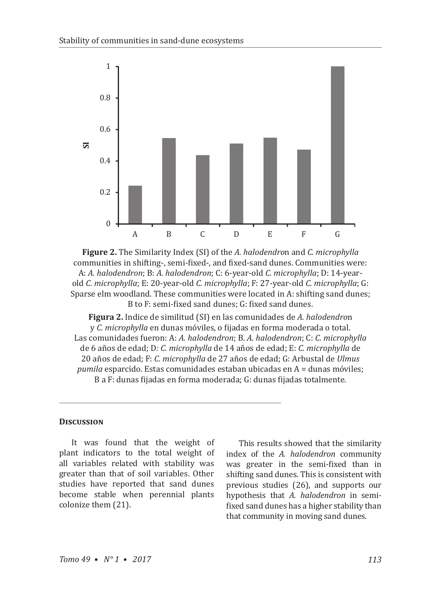

**Figure 2.** The Similarity Index (SI) of the *A. halodendro*n and *C. microphylla* communities in shifting-, semi-fixed-, and fixed-sand dunes. Communities were: A: *A. halodendron*; B: *A. halodendron*; C: 6-year-old *C. microphylla*; D: 14-yearold *C. microphylla*; E: 20-year-old *C. microphylla*; F: 27-year-old *C. microphylla*; G: Sparse elm woodland. These communities were located in A: shifting sand dunes; B to F: semi-fixed sand dunes; G: fixed sand dunes.

**Figura 2.** Indice de similitud (SI) en las comunidades de *A. halodendro*n y *C. microphylla* en dunas móviles, o fijadas en forma moderada o total. Las comunidades fueron: A: *A. halodendron*; B. *A. halodendron*; C: *C. microphylla* de 6 años de edad; D*: C. microphylla* de 14 años de edad; E: *C. microphylla* de 20 años de edad; F: *C. microphylla* de 27 años de edad; G: Arbustal de *Ulmus pumila* esparcido. Estas comunidades estaban ubicadas en A = dunas móviles; B a F: dunas fijadas en forma moderada; G: dunas fijadas totalmente.

#### **Discussion**

It was found that the weight of plant indicators to the total weight of all variables related with stability was greater than that of soil variables. Other studies have reported that sand dunes become stable when perennial plants colonize them (21).

This results showed that the similarity index of the *A. halodendron* community was greater in the semi-fixed than in shifting sand dunes. This is consistent with previous studies (26), and supports our hypothesis that *A. halodendron* in semifixed sand dunes has a higher stability than that community in moving sand dunes.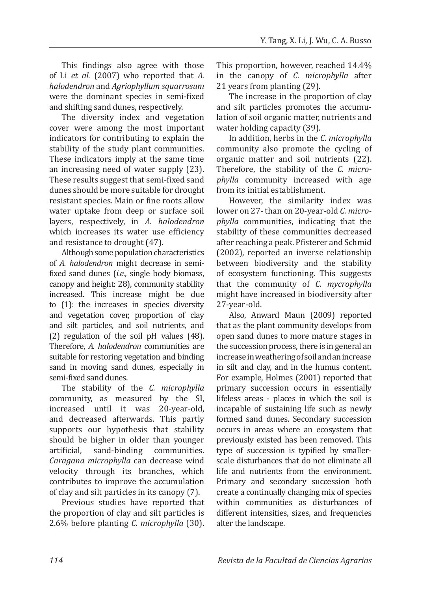This findings also agree with those of Li *et al.* (2007) who reported that *A. halodendron* and *Agriophyllum squarrosum* were the dominant species in semi-fixed and shifting sand dunes, respectively.

The diversity index and vegetation cover were among the most important indicators for contributing to explain the stability of the study plant communities. These indicators imply at the same time an increasing need of water supply (23). These results suggest that semi-fixed sand dunes should be more suitable for drought resistant species. Main or fine roots allow water uptake from deep or surface soil layers, respectively, in *A. halodendron* which increases its water use efficiency and resistance to drought (47).

Although some population characteristics of *A. halodendron* might decrease in semifixed sand dunes (*i.e.*, single body biomass, canopy and height: 28), community stability increased. This increase might be due to (1): the increases in species diversity and vegetation cover, proportion of clay and silt particles, and soil nutrients, and (2) regulation of the soil pH values (48). Therefore, *A. halodendron* communities are suitable for restoring vegetation and binding sand in moving sand dunes, especially in semi-fixed sand dunes.

The stability of the *C. microphylla* community, as measured by the SI, increased until it was 20-year-old, and decreased afterwards. This partly supports our hypothesis that stability should be higher in older than younger<br>artificial, sand-binding communities. sand-binding communities. *Caragana microphylla* can decrease wind velocity through its branches, which contributes to improve the accumulation of clay and silt particles in its canopy (7).

Previous studies have reported that the proportion of clay and silt particles is 2.6% before planting *C. microphylla* (30). This proportion, however, reached 14.4% in the canopy of *C. microphylla* after 21 years from planting (29).

The increase in the proportion of clay and silt particles promotes the accumulation of soil organic matter, nutrients and water holding capacity (39).

In addition, herbs in the *C. microphylla*  community also promote the cycling of organic matter and soil nutrients (22). Therefore, the stability of the *C. microphylla* community increased with age from its initial establishment.

However, the similarity index was lower on 27- than on 20-year-old *C. microphylla* communities, indicating that the stability of these communities decreased after reaching a peak. Pfisterer and Schmid (2002), reported an inverse relationship between biodiversity and the stability of ecosystem functioning. This suggests that the community of *C. mycrophylla* might have increased in biodiversity after 27-year-old.

Also, Anward Maun (2009) reported that as the plant community develops from open sand dunes to more mature stages in the succession process, there is in general an increase in weathering of soil and an increase in silt and clay, and in the humus content. For example, Holmes (2001) reported that primary succession occurs in essentially lifeless areas - places in which the soil is incapable of sustaining life such as newly formed sand dunes. Secondary succession occurs in areas where an ecosystem that previously existed has been removed. This type of succession is typified by smallerscale disturbances that do not eliminate all life and nutrients from the environment. Primary and secondary succession both create a continually changing mix of species within communities as disturbances of different intensities, sizes, and frequencies alter the landscape.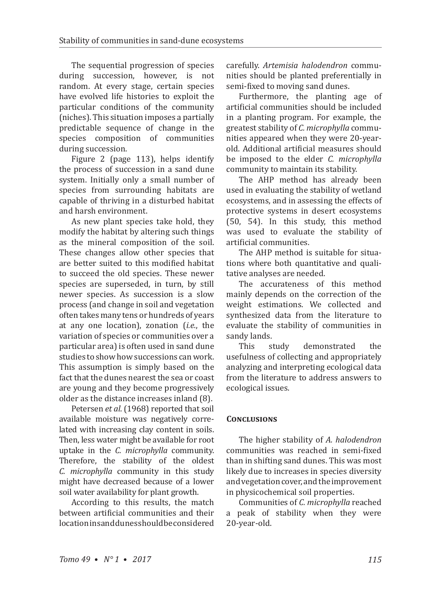The sequential progression of species during succession, however, is not random. At every stage, certain species have evolved life histories to exploit the particular conditions of the community (niches). This situation imposes a partially predictable sequence of change in the species composition of communities during succession.

Figure 2 (page 113), helps identify the process of succession in a sand dune system. Initially only a small number of species from surrounding habitats are capable of thriving in a disturbed habitat and harsh environment.

As new plant species take hold, they modify the habitat by altering such things as the mineral composition of the soil. These changes allow other species that are better suited to this modified habitat to succeed the old species. These newer species are superseded, in turn, by still newer species. As succession is a slow process (and change in soil and vegetation often takes many tens or hundreds of years at any one location), zonation (*i.e.*, the variation of species or communities over a particular area) is often used in sand dune studies to show how successions can work. This assumption is simply based on the fact that the dunes nearest the sea or coast are young and they become progressively older as the distance increases inland (8).

Petersen *et al*. (1968) reported that soil available moisture was negatively correlated with increasing clay content in soils. Then, less water might be available for root uptake in the *C. microphylla* community. Therefore, the stability of the oldest *C. microphylla* community in this study might have decreased because of a lower soil water availability for plant growth.

According to this results, the match between artificial communities and their location in sand dunes should be considered carefully. *Artemisia halodendron* communities should be planted preferentially in semi-fixed to moving sand dunes.

Furthermore, the planting age of artificial communities should be included in a planting program. For example, the greatest stability of *C. microphylla* communities appeared when they were 20-yearold. Additional artificial measures should be imposed to the elder *C. microphylla* community to maintain its stability.

The AHP method has already been used in evaluating the stability of wetland ecosystems, and in assessing the effects of protective systems in desert ecosystems (50, 54). In this study, this method was used to evaluate the stability of artificial communities.

The AHP method is suitable for situations where both quantitative and qualitative analyses are needed.

The accurateness of this method mainly depends on the correction of the weight estimations. We collected and synthesized data from the literature to evaluate the stability of communities in sandy lands.<br>This study

demonstrated the usefulness of collecting and appropriately analyzing and interpreting ecological data from the literature to address answers to ecological issues.

## **Conclusions**

The higher stability of *A. halodendron* communities was reached in semi-fixed than in shifting sand dunes. This was most likely due to increases in species diversity and vegetation cover, and the improvement in physicochemical soil properties.

Communities of *C. microphylla* reached a peak of stability when they were 20-year-old.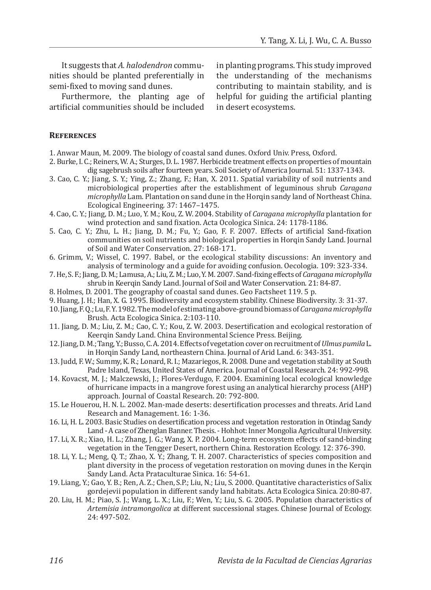It suggests that *A. halodendron* communities should be planted preferentially in semi-fixed to moving sand dunes.

Furthermore, the planting age of artificial communities should be included in planting programs. This study improved the understanding of the mechanisms contributing to maintain stability, and is helpful for guiding the artificial planting in desert ecosystems.

#### **References**

1. Anwar Maun, M. 2009. The biology of coastal sand dunes. Oxford Univ. Press, Oxford.

- 2. Burke, I. C.; Reiners, W. A.; Sturges, D. L. 1987. Herbicide treatment effects on properties of mountain dig sagebrush soils after fourteen years. Soil Society of America Journal. 51: 1337-1343.
- 3. Cao, C. Y.; Jiang, S. Y.; Ying, Z.; Zhang, F.; Han, X. 2011. Spatial variability of soil nutrients and microbiological properties after the establishment of leguminous shrub *Caragana microphylla* Lam. Plantation on sand dune in the Horqin sandy land of Northeast China. Ecological Engineering. 37: 1467–1475.
- 4. Cao, C. Y.; Jiang, D. M.; Luo, Y. M.; Kou, Z. W. 2004. Stability of *Caragana microphylla* plantation for wind protection and sand fixation. Acta Ocologica Sinica. 24: 1178-1186.
- 5. Cao, C. Y.; Zhu, L. H.; Jiang, D. M.; Fu, Y.; Gao, F. F. 2007. Effects of artificial Sand-fixation communities on soil nutrients and biological properties in Horqin Sandy Land. Journal of Soil and Water Conservation. 27: 168-171.
- 6. Grimm, V.; Wissel, C. 1997. Babel, or the ecological stability discussions: An inventory and analysis of terminology and a guide for avoiding confusion. Oecologia. 109: 323-334.
- 7. He, S. F.; Jiang, D. M.; Lamusa, A.; Liu, Z. M.; Luo, Y. M. 2007. Sand-fixing effects of *Caragana microphylla* shrub in Keerqin Sandy Land. Journal of Soil and Water Conservation. 21: 84-87.
- 8. Holmes, D. 2001. The geography of coastal sand dunes. Geo Factsheet 119. 5 p.
- 9. Huang, J. H.; Han, X. G. 1995. Biodiversity and ecosystem stability. Chinese Biodiversity. 3: 31-37.
- 10. Jiang, F. Q.; Lu, F. Y. 1982. The model of estimating above-ground biomass of *Caraganamicrophylla* Brush. Acta Ecologica Sinica. 2:103-110.
- 11. Jiang, D. M.; Liu, Z. M.; Cao, C. Y.; Kou, Z. W. 2003. Desertification and ecological restoration of Keerqin Sandy Land. China Environmental Science Press. Beijing.
- 12. Jiang, D. M.; Tang, Y.; Busso, C. A. 2014. Effects of vegetation cover on recruitment of *Ulmuspumila*L. in Horqin Sandy Land, northeastern China. Journal of Arid Land. 6: 343-351.
- 13. Judd, F. W.; Summy, K. R.; Lonard, R. I.; Mazariegos, R. 2008. Dune and vegetation stability at South Padre Island, Texas, United States of America. Journal of Coastal Research. 24: 992-998.
- 14. Kovacst, M. J.; Malczewski, J.; Flores-Verdugo, F. 2004. Examining local ecological knowledge of hurricane impacts in a mangrove forest using an analytical hierarchy process (AHP) approach. Journal of Coastal Research. 20: 792-800.
- 15. Le Houerou, H. N. L. 2002. Man-made deserts: desertification processes and threats. Arid Land Research and Management. 16: 1-36.
- 16. Li, H. L. 2003. Basic Studies on desertification process and vegetation restoration in Otindag Sandy Land - A case of Zhenglan Banner. Thesis. - Hohhot: Inner Mongolia Agricultural University.
- 17. Li, X. R.; Xiao, H. L.; Zhang, J. G.; Wang, X. P. 2004. Long-term ecosystem effects of sand-binding vegetation in the Tengger Desert, northern China. Restoration Ecology. 12: 376-390.
- 18. Li, Y. L.; Meng, Q. T.; Zhao, X. Y.; Zhang, T. H. 2007. Characteristics of species composition and plant diversity in the process of vegetation restoration on moving dunes in the Kerqin Sandy Land. Acta Prataculturae Sinica. 16: 54-61.
- 19. Liang, Y.; Gao, Y. B.; Ren, A. Z.; Chen, S.P.; Liu, N.; Liu, S. 2000. Quantitative characteristics of Salix gordejevii population in different sandy land habitats. Acta Ecologica Sinica. 20:80-87.
- 20. Liu, H. M.; Piao, S. J.; Wang, L. X.; Liu, F.; Wen, Y.; Liu, S. G. 2005. Population characteristics of *Artemisia intramongolica* at different successional stages. Chinese Journal of Ecology. 24: 497-502.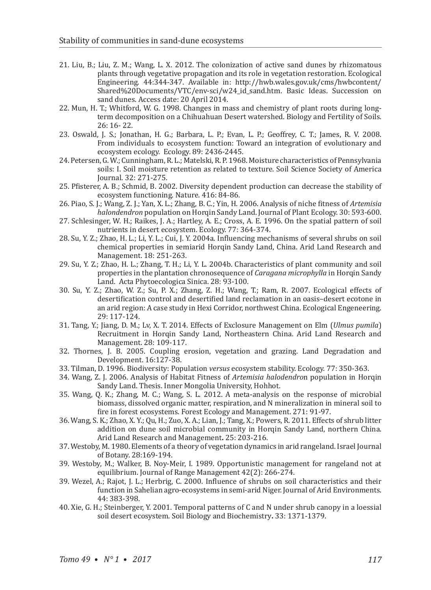- 21. Liu, B.; Liu, Z. M.; Wang, L. X. 2012. The colonization of active sand dunes by rhizomatous plants through vegetative propagation and its role in vegetation restoration. Ecological Engineering. 44:344-347. Available in: http://hwb.wales.gov.uk/cms/hwbcontent/ Shared%20Documents/VTC/env-sci/w24\_id\_sand.htm. Basic Ideas. Succession on sand dunes. Access date: 20 April 2014.
- 22. Mun, H. T.; Whitford, W. G. 1998. Changes in mass and chemistry of plant roots during longterm decomposition on a Chihuahuan Desert watershed. Biology and Fertility of Soils. 26: 16- 22.
- 23. Oswald, J. S.; Jonathan, H. G.; Barbara, L. P.; Evan, L. P.; Geoffrey, C. T.; James, R. V. 2008. From individuals to ecosystem function: Toward an integration of evolutionary and ecosystem ecology. Ecology. 89: 2436-2445.
- 24. Petersen, G. W.; Cunningham, R. L.; Matelski, R. P. 1968. Moisture characteristics of Pennsylvania soils: I. Soil moisture retention as related to texture. Soil Science Society of America Journal. 32: 271-275.
- 25. Pfisterer, A. B.; Schmid, B. 2002. Diversity dependent production can decrease the stability of ecosystem functioning. Nature. 416: 84-86.
- 26. Piao, S. J.; Wang, Z. J.; Yan, X. L.; Zhang, B. C.; Yin, H. 2006. Analysis of niche fitness of *Artemisia halondendron* population on Horqin Sandy Land. Journal of Plant Ecology. 30: 593-600.
- 27. Schlesinger, W. H.; Raikes, J. A.; Hartley, A. E.; Cross, A. E. 1996. On the spatial pattern of soil nutrients in desert ecosystem. Ecology. 77: 364-374.
- 28. Su, Y. Z.; Zhao, H. L.; Li, Y. L.; Cui, J. Y. 2004a. Influencing mechanisms of several shrubs on soil chemical properties in semiarid Horqin Sandy Land, China. Arid Land Research and Management. 18: 251-263.
- 29. Su, Y. Z.; Zhao, H. L.; Zhang, T. H.; Li, Y. L. 2004b. Characteristics of plant community and soil properties in the plantation chronosequence of *Caragana microphylla* in Horqin Sandy Land. Acta Phytoecologica Sinica. 28: 93-100.
- 30. Su, Y. Z.; Zhao, W. Z.; Su, P. X.; Zhang, Z. H.; Wang, T.; Ram, R. 2007. Ecological effects of desertification control and desertified land reclamation in an oasis–desert ecotone in an arid region: A case study in Hexi Corridor, northwest China. Ecological Engeneering. 29: 117-124.
- 31. Tang, Y.; Jiang, D. M.; Lv, X. T. 2014. Effects of Exclosure Management on Elm (*Ulmus pumila*) Recruitment in Horqin Sandy Land, Northeastern China. Arid Land Research and Management. 28: 109-117.
- 32. Thornes, J. B. 2005. Coupling erosion, vegetation and grazing. Land Degradation and Development. 16:127-38.
- 33. Tilman, D. 1996. Biodiversity: Population *versus* ecosystem stability. Ecology. 77: 350-363.
- 34. Wang, Z. J. 2006. Analysis of Habitat Fitness of *Artemisia halodendro*n population in Horqin Sandy Land. Thesis. Inner Mongolia University, Hohhot.
- 35. Wang, Q. K.; Zhang, M. C.; Wang, S. L. 2012. A meta-analysis on the response of microbial biomass, dissolved organic matter, respiration, and N mineralization in mineral soil to fire in forest ecosystems. Forest Ecology and Management. 271: 91-97.
- 36. Wang, S. K.; Zhao, X. Y.; Qu, H.; Zuo, X. A.; Lian, J.; Tang, X.; Powers, R. 2011. Effects of shrub litter addition on dune soil microbial community in Horqin Sandy Land, northern China. Arid Land Research and Management**.** 25: 203-216.
- 37. Westoby, M. 1980. Elements of a theory of vegetation dynamics in arid rangeland. Israel Journal of Botany. 28:169-194.
- 39. Westoby, M.; Walker, B. Noy-Meir, I. 1989. Opportunistic management for rangeland not at equilibrium. Journal of Range Management 42(2): 266-274.
- 39. Wezel, A.; Rajot, J. L.; Herbrig, C. 2000. Influence of shrubs on soil characteristics and their function in Sahelian agro-ecosystems in semi-arid Niger. Journal of Arid Environments. 44: 383-398.
- 40. Xie, G. H.; Steinberger, Y. 2001. Temporal patterns of C and N under shrub canopy in a loessial soil desert ecosystem. Soil Biology and Biochemistry**.** 33: 1371-1379.